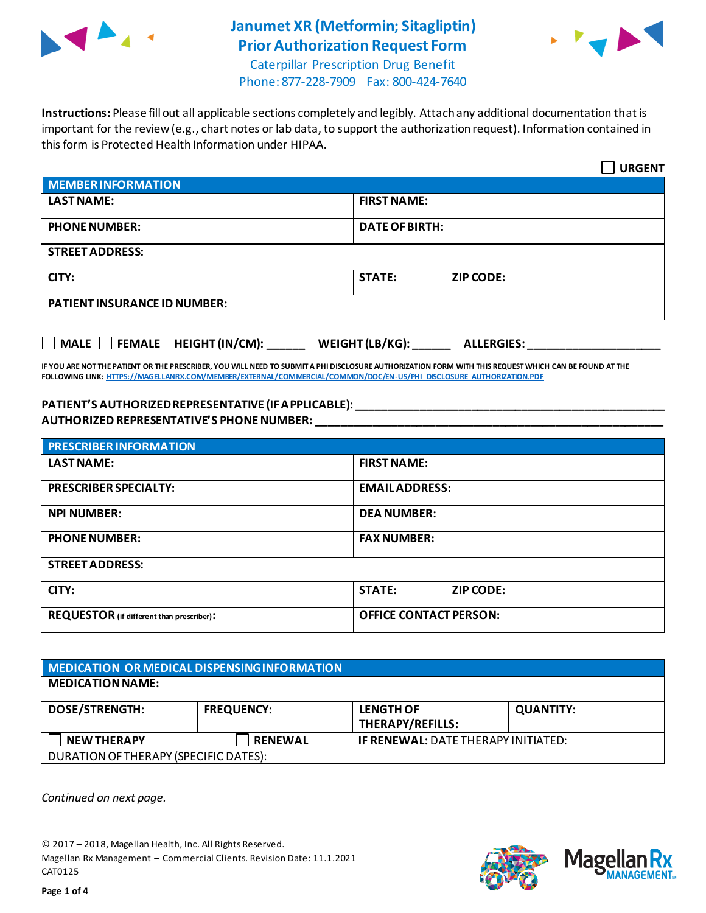

# **Janumet XR (Metformin; Sitagliptin) Prior Authorization Request Form**



Caterpillar Prescription Drug Benefit Phone: 877-228-7909 Fax: 800-424-7640

**Instructions:** Please fill out all applicable sections completely and legibly. Attach any additional documentation that is important for the review (e.g., chart notes or lab data, to support the authorization request). Information contained in this form is Protected Health Information under HIPAA.

|                                                                                   | <b>URGENT</b>                     |  |
|-----------------------------------------------------------------------------------|-----------------------------------|--|
| <b>MEMBER INFORMATION</b>                                                         |                                   |  |
| <b>LAST NAME:</b>                                                                 | <b>FIRST NAME:</b>                |  |
| <b>PHONE NUMBER:</b>                                                              | <b>DATE OF BIRTH:</b>             |  |
| <b>STREET ADDRESS:</b>                                                            |                                   |  |
| CITY:                                                                             | <b>STATE:</b><br><b>ZIP CODE:</b> |  |
| <b>PATIENT INSURANCE ID NUMBER:</b>                                               |                                   |  |
| $\Box$ MALE $\Box$ FEMALE HEIGHT (IN/CM):<br>WEIGHT (LB/KG):<br><b>ALLERGIES:</b> |                                   |  |

**IF YOU ARE NOT THE PATIENT OR THE PRESCRIBER, YOU WILL NEED TO SUBMIT A PHI DISCLOSURE AUTHORIZATION FORM WITH THIS REQUEST WHICH CAN BE FOUND AT THE FOLLOWING LINK[: HTTPS://MAGELLANRX.COM/MEMBER/EXTERNAL/COMMERCIAL/COMMON/DOC/EN-US/PHI\\_DISCLOSURE\\_AUTHORIZATION.PDF](https://magellanrx.com/member/external/commercial/common/doc/en-us/PHI_Disclosure_Authorization.pdf)**

#### **PATIENT'S AUTHORIZED REPRESENTATIVE (IF APPLICABLE): \_\_\_\_\_\_\_\_\_\_\_\_\_\_\_\_\_\_\_\_\_\_\_\_\_\_\_\_\_\_\_\_\_\_\_\_\_\_\_\_\_\_\_\_\_\_\_\_\_ AUTHORIZED REPRESENTATIVE'S PHONE NUMBER: \_\_\_\_\_\_\_\_\_\_\_\_\_\_\_\_\_\_\_\_\_\_\_\_\_\_\_\_\_\_\_\_\_\_\_\_\_\_\_\_\_\_\_\_\_\_\_\_\_\_\_\_\_\_\_**

| <b>PRESCRIBER INFORMATION</b>             |                               |  |
|-------------------------------------------|-------------------------------|--|
| <b>LAST NAME:</b>                         | <b>FIRST NAME:</b>            |  |
| <b>PRESCRIBER SPECIALTY:</b>              | <b>EMAIL ADDRESS:</b>         |  |
| <b>NPI NUMBER:</b>                        | <b>DEA NUMBER:</b>            |  |
| <b>PHONE NUMBER:</b>                      | <b>FAX NUMBER:</b>            |  |
| <b>STREET ADDRESS:</b>                    |                               |  |
| CITY:                                     | <b>STATE:</b><br>ZIP CODE:    |  |
| REQUESTOR (if different than prescriber): | <b>OFFICE CONTACT PERSON:</b> |  |

### **MEDICATION OR MEDICAL DISPENSING INFORMATION MEDICATION NAME: DOSE/STRENGTH: FREQUENCY: LENGTH OF THERAPY/REFILLS: QUANTITY: NEW THERAPY RENEWAL IF RENEWAL:** DATE THERAPY INITIATED: DURATION OF THERAPY (SPECIFIC DATES):

*Continued on next page.*

© 2017 – 2018, Magellan Health, Inc. All Rights Reserved. Magellan Rx Management – Commercial Clients. Revision Date: 11.1.2021 CAT0125



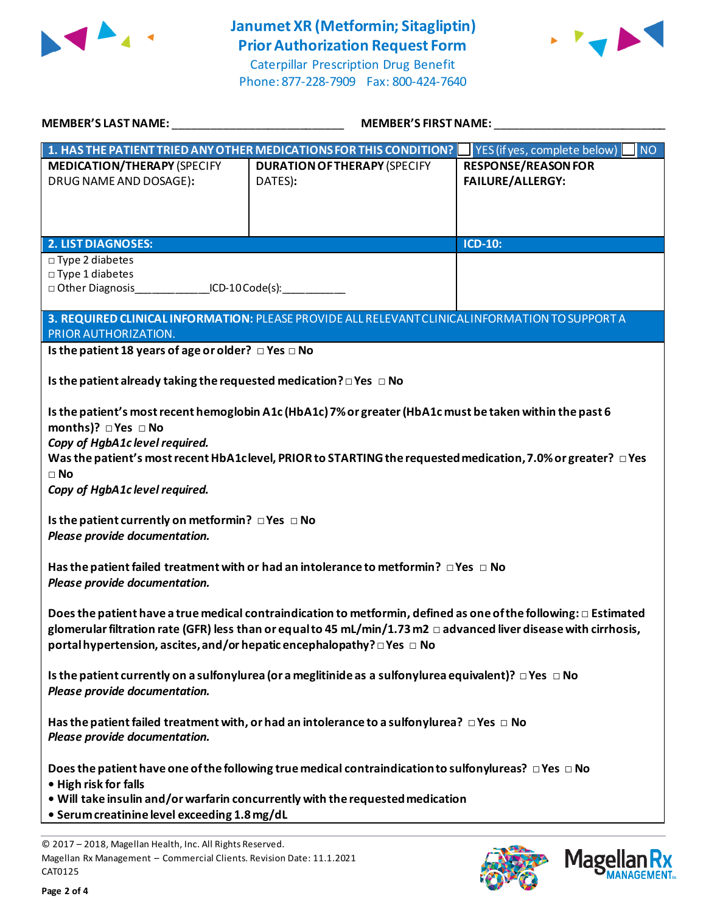

# **Janumet XR (Metformin; Sitagliptin) Prior Authorization Request Form**



Caterpillar Prescription Drug Benefit Phone: 877-228-7909 Fax: 800-424-7640

| <b>MEMBER'S LAST NAME:</b>                                                                                                                    | MEMBER'S FIRST NAME:                                                                                                                                                                                                                                                                                                                 |                                                   |
|-----------------------------------------------------------------------------------------------------------------------------------------------|--------------------------------------------------------------------------------------------------------------------------------------------------------------------------------------------------------------------------------------------------------------------------------------------------------------------------------------|---------------------------------------------------|
|                                                                                                                                               | 1. HAS THE PATIENT TRIED ANY OTHER MEDICATIONS FOR THIS CONDITION?                                                                                                                                                                                                                                                                   | $\blacksquare$ NO<br>YES (if yes, complete below) |
| <b>MEDICATION/THERAPY (SPECIFY</b><br>DRUG NAME AND DOSAGE):                                                                                  | <b>DURATION OF THERAPY (SPECIFY</b><br>DATES):                                                                                                                                                                                                                                                                                       | <b>RESPONSE/REASON FOR</b><br>FAILURE/ALLERGY:    |
| <b>2. LIST DIAGNOSES:</b>                                                                                                                     |                                                                                                                                                                                                                                                                                                                                      | <b>ICD-10:</b>                                    |
| $\Box$ Type 2 diabetes<br>□ Type 1 diabetes<br>□ Other Diagnosis ________________ICD-10 Code(s):                                              |                                                                                                                                                                                                                                                                                                                                      |                                                   |
| PRIOR AUTHORIZATION.                                                                                                                          | 3. REQUIRED CLINICAL INFORMATION: PLEASE PROVIDE ALL RELEVANT CLINICAL INFORMATION TO SUPPORT A                                                                                                                                                                                                                                      |                                                   |
| Is the patient 18 years of age or older? $\Box$ Yes $\Box$ No                                                                                 |                                                                                                                                                                                                                                                                                                                                      |                                                   |
| Is the patient already taking the requested medication? $\square$ Yes $\square$ No                                                            |                                                                                                                                                                                                                                                                                                                                      |                                                   |
| months)? $\Box$ Yes $\Box$ No<br>Copy of HgbA1c level required.<br>$\square$ No<br>Copy of HgbA1c level required.                             | Is the patient's most recent hemoglobin A1c (HbA1c) 7% or greater (HbA1c must be taken within the past 6<br>Was the patient's most recent HbA1clevel, PRIOR to STARTING the requested medication, 7.0% or greater? $\Box$ Yes                                                                                                        |                                                   |
| Is the patient currently on metformin? $\Box$ Yes $\Box$ No<br>Please provide documentation.                                                  |                                                                                                                                                                                                                                                                                                                                      |                                                   |
| Please provide documentation.                                                                                                                 | Has the patient failed treatment with or had an intolerance to metformin? $\Box$ Yes $\Box$ No                                                                                                                                                                                                                                       |                                                   |
|                                                                                                                                               | Does the patient have a true medical contraindication to metformin, defined as one of the following: $\Box$ Estimated<br>glomerular filtration rate (GFR) less than or equal to 45 mL/min/1.73 m2 $\Box$ advanced liver disease with cirrhosis,<br>portal hypertension, ascites, and/or hepatic encephalopathy? $\Box$ Yes $\Box$ No |                                                   |
| Please provide documentation.                                                                                                                 | Is the patient currently on a sulfonylurea (or a meglitinide as a sulfonylurea equivalent)? $\Box$ Yes $\Box$ No                                                                                                                                                                                                                     |                                                   |
| Please provide documentation.                                                                                                                 | Has the patient failed treatment with, or had an intolerance to a sulfonylurea? $\Box$ Yes $\Box$ No                                                                                                                                                                                                                                 |                                                   |
| • High risk for falls<br>• Serum creatinine level exceeding 1.8 mg/dL                                                                         | Does the patient have one of the following true medical contraindication to sulfonylureas? $\Box$ Yes $\Box$ No<br>. Will take insulin and/or warfarin concurrently with the requested medication                                                                                                                                    |                                                   |
| © 2017 - 2018, Magellan Health, Inc. All Rights Reserved.<br>Magellan Rx Management - Commercial Clients. Revision Date: 11.1.2021<br>CAT0125 |                                                                                                                                                                                                                                                                                                                                      | <b>Mage</b>                                       |

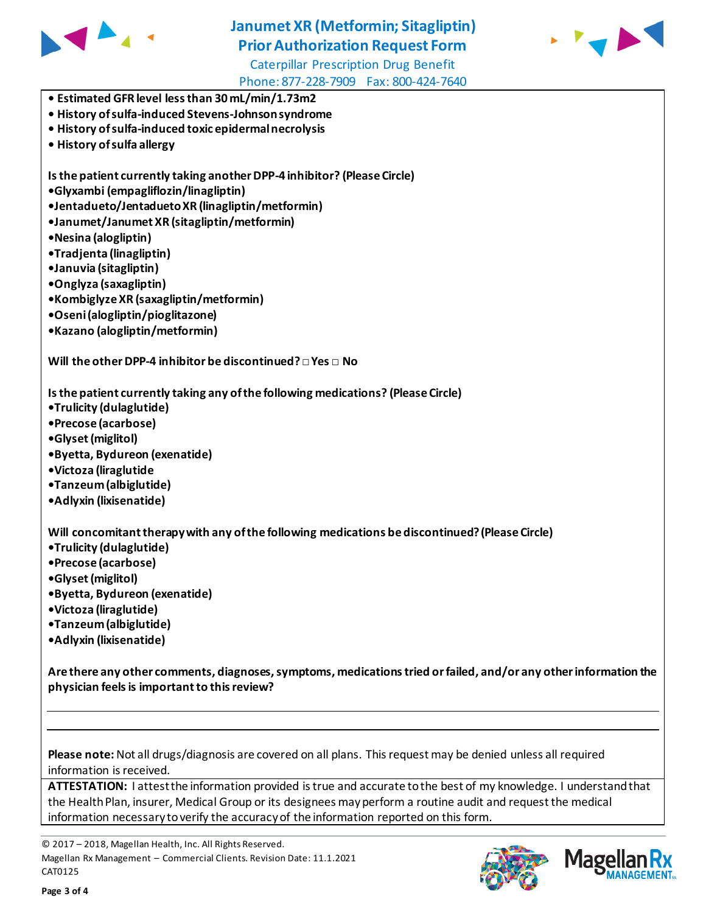

# **Janumet XR (Metformin; Sitagliptin) Prior Authorization Request Form**



Caterpillar Prescription Drug Benefit Phone: 877-228-7909 Fax: 800-424-7640

- **Estimated GFR level less than 30 mL/min/1.73m2**
- **History of sulfa-induced Stevens-Johnson syndrome**
- **History of sulfa-induced toxic epidermal necrolysis**
- **History of sulfa allergy**

**Is the patient currently taking another DPP-4 inhibitor? (Please Circle)**

**•Glyxambi (empagliflozin/linagliptin)**

**•Jentadueto/Jentadueto XR (linagliptin/metformin)**

**•Janumet/Janumet XR (sitagliptin/metformin)**

- **•Nesina (alogliptin)**
- **•Tradjenta (linagliptin)**
- **•Januvia (sitagliptin)**
- **•Onglyza (saxagliptin)**
- **•Kombiglyze XR (saxagliptin/metformin)**
- **•Oseni (alogliptin/pioglitazone)**
- **•Kazano (alogliptin/metformin)**

**Will the other DPP-4 inhibitor be discontinued?□ Yes □ No**

**Is the patient currently taking any of the following medications? (Please Circle)**

- **•Trulicity (dulaglutide)**
- **•Precose (acarbose)**
- **•Glyset (miglitol)**
- **•Byetta, Bydureon (exenatide)**
- **•Victoza (liraglutide**
- **•Tanzeum (albiglutide)**
- **•Adlyxin (lixisenatide)**

**Will concomitant therapy with any of the following medications be discontinued? (Please Circle)**

- **•Trulicity (dulaglutide)**
- **•Precose (acarbose)**
- **•Glyset (miglitol)**
- **•Byetta, Bydureon (exenatide)**
- **•Victoza (liraglutide)**
- **•Tanzeum (albiglutide)**
- **•Adlyxin (lixisenatide)**

**Are there any other comments, diagnoses, symptoms, medications tried or failed, and/or any other information the physician feels is important to this review?**

**Please note:** Not all drugs/diagnosis are covered on all plans. This request may be denied unless all required information is received.

**ATTESTATION:** I attest the information provided is true and accurate to the best of my knowledge. I understand that the Health Plan, insurer, Medical Group or its designees may perform a routine audit and request the medical information necessary to verify the accuracy of the information reported on this form.

© 2017 – 2018, Magellan Health, Inc. All Rights Reserved. Magellan Rx Management – Commercial Clients. Revision Date: 11.1.2021 CAT0125